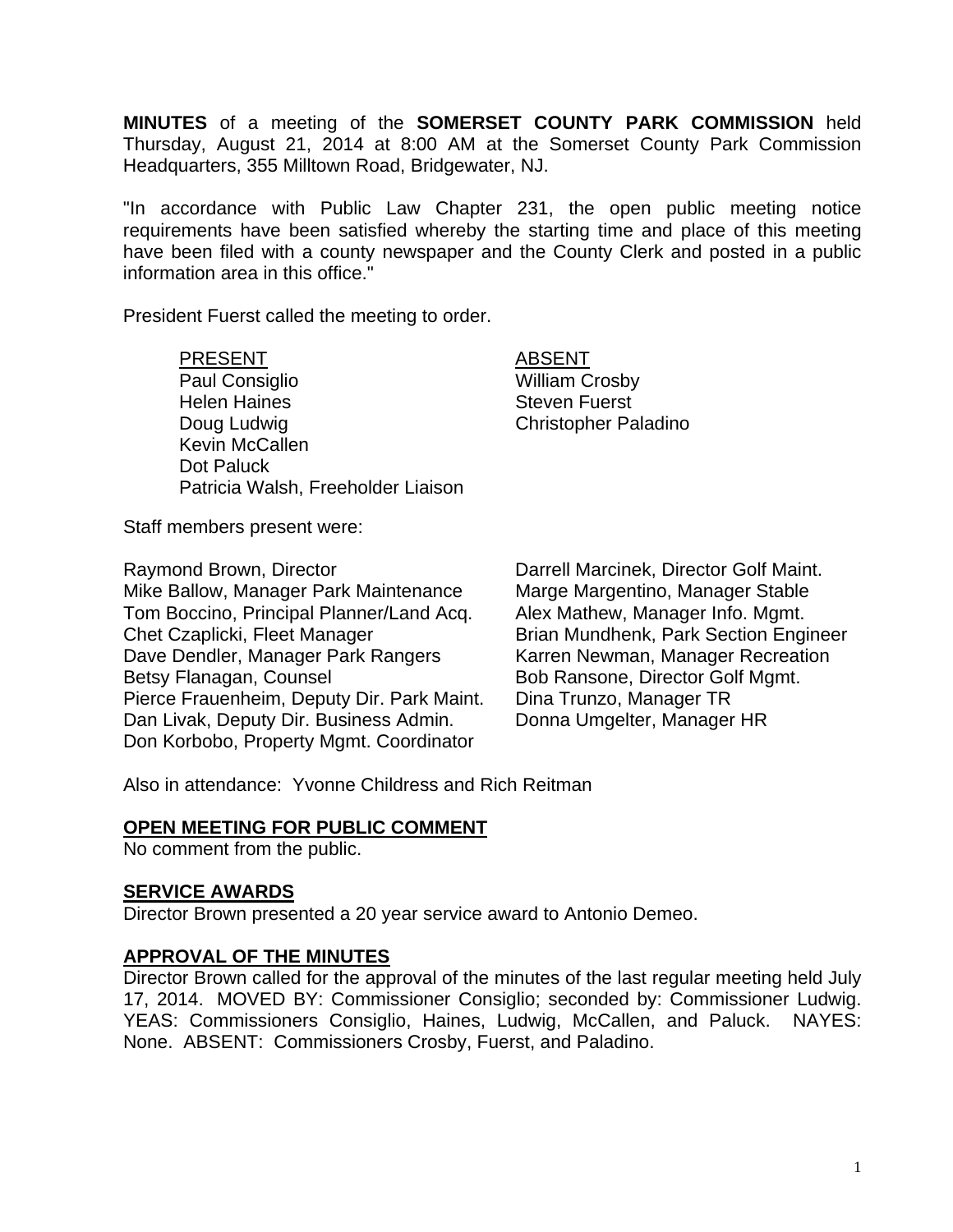**MINUTES** of a meeting of the **SOMERSET COUNTY PARK COMMISSION** held Thursday, August 21, 2014 at 8:00 AM at the Somerset County Park Commission Headquarters, 355 Milltown Road, Bridgewater, NJ.

"In accordance with Public Law Chapter 231, the open public meeting notice requirements have been satisfied whereby the starting time and place of this meeting have been filed with a county newspaper and the County Clerk and posted in a public information area in this office."

President Fuerst called the meeting to order.

## PRESENT ABSENT

Paul Consiglio New York 1999 William Crosby Helen Haines **Steven Fuerst** Doug Ludwig **Christopher Paladino** Kevin McCallen Dot Paluck Patricia Walsh, Freeholder Liaison

Staff members present were:

Raymond Brown, Director **National Common Contains Contains Contains Contains Contains Arrival** Darrell Marcinek, Director Golf Maint.<br>Marge Margentino, Manager Stable Mike Ballow, Manager Park Maintenance Tom Boccino, Principal Planner/Land Acq. Alex Mathew, Manager Info. Mgmt. Chet Czaplicki, Fleet Manager Brian Mundhenk, Park Section Engineer Dave Dendler, Manager Park Rangers Karren Newman, Manager Recreation Betsy Flanagan, Counsel Bob Ransone, Director Golf Mgmt. Pierce Frauenheim, Deputy Dir. Park Maint. Dina Trunzo, Manager TR Dan Livak, Deputy Dir. Business Admin. Donna Umgelter, Manager HR Don Korbobo, Property Mgmt. Coordinator

Also in attendance: Yvonne Childress and Rich Reitman

# **OPEN MEETING FOR PUBLIC COMMENT**

No comment from the public.

## **SERVICE AWARDS**

Director Brown presented a 20 year service award to Antonio Demeo.

# **APPROVAL OF THE MINUTES**

Director Brown called for the approval of the minutes of the last regular meeting held July 17, 2014. MOVED BY: Commissioner Consiglio; seconded by: Commissioner Ludwig. YEAS: Commissioners Consiglio, Haines, Ludwig, McCallen, and Paluck. NAYES: None. ABSENT: Commissioners Crosby, Fuerst, and Paladino.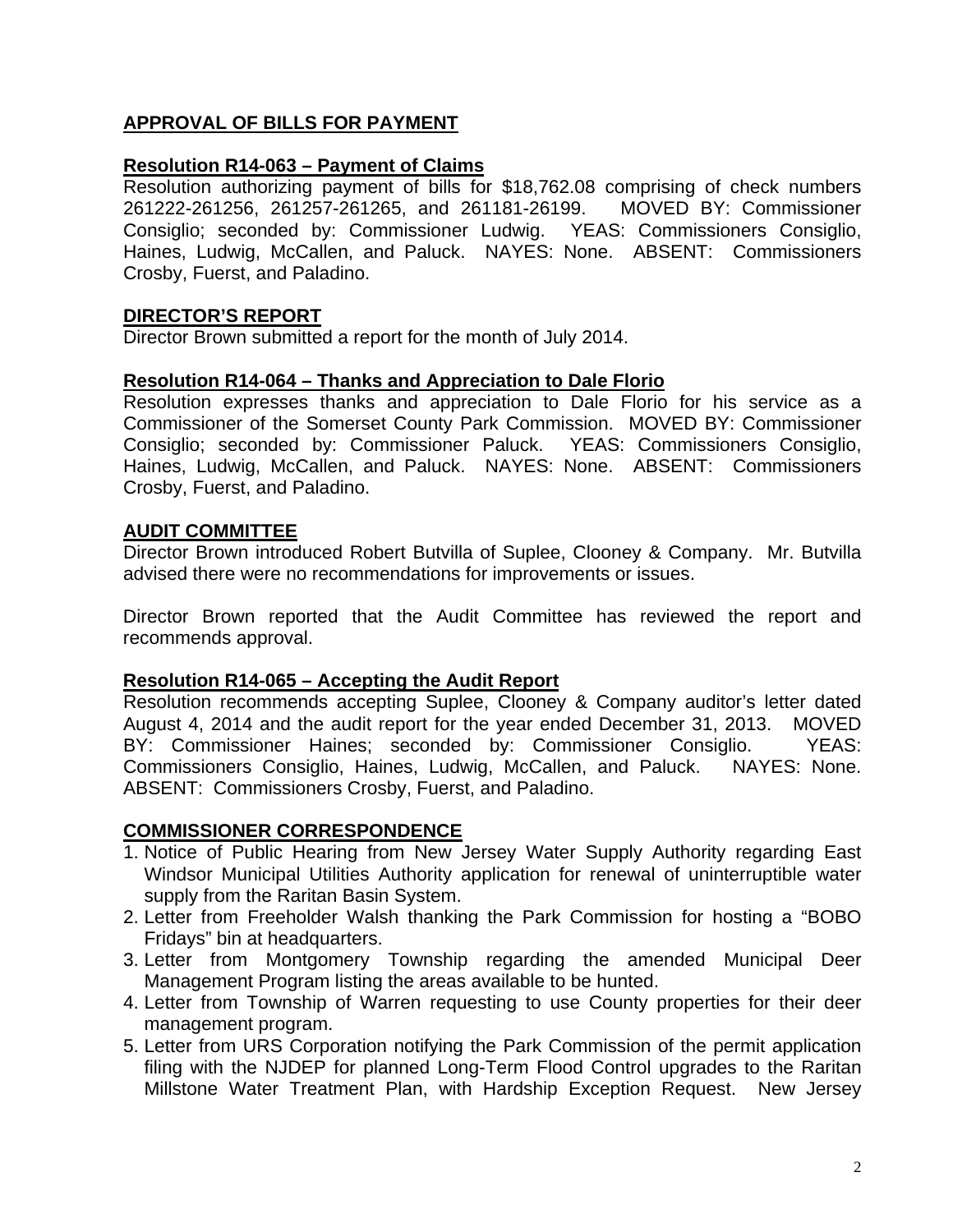# **APPROVAL OF BILLS FOR PAYMENT**

## **Resolution R14-063 – Payment of Claims**

Resolution authorizing payment of bills for \$18,762.08 comprising of check numbers 261222-261256, 261257-261265, and 261181-26199. MOVED BY: Commissioner Consiglio; seconded by: Commissioner Ludwig. YEAS: Commissioners Consiglio, Haines, Ludwig, McCallen, and Paluck. NAYES: None. ABSENT: Commissioners Crosby, Fuerst, and Paladino.

# **DIRECTOR'S REPORT**

Director Brown submitted a report for the month of July 2014.

#### **Resolution R14-064 – Thanks and Appreciation to Dale Florio**

Resolution expresses thanks and appreciation to Dale Florio for his service as a Commissioner of the Somerset County Park Commission. MOVED BY: Commissioner Consiglio; seconded by: Commissioner Paluck. YEAS: Commissioners Consiglio, Haines, Ludwig, McCallen, and Paluck. NAYES: None. ABSENT: Commissioners Crosby, Fuerst, and Paladino.

## **AUDIT COMMITTEE**

Director Brown introduced Robert Butvilla of Suplee, Clooney & Company. Mr. Butvilla advised there were no recommendations for improvements or issues.

Director Brown reported that the Audit Committee has reviewed the report and recommends approval.

#### **Resolution R14-065 – Accepting the Audit Report**

Resolution recommends accepting Suplee, Clooney & Company auditor's letter dated August 4, 2014 and the audit report for the year ended December 31, 2013. MOVED BY: Commissioner Haines; seconded by: Commissioner Consiglio. YEAS: Commissioners Consiglio, Haines, Ludwig, McCallen, and Paluck. NAYES: None. ABSENT: Commissioners Crosby, Fuerst, and Paladino.

#### **COMMISSIONER CORRESPONDENCE**

- 1. Notice of Public Hearing from New Jersey Water Supply Authority regarding East Windsor Municipal Utilities Authority application for renewal of uninterruptible water supply from the Raritan Basin System.
- 2. Letter from Freeholder Walsh thanking the Park Commission for hosting a "BOBO Fridays" bin at headquarters.
- 3. Letter from Montgomery Township regarding the amended Municipal Deer Management Program listing the areas available to be hunted.
- 4. Letter from Township of Warren requesting to use County properties for their deer management program.
- 5. Letter from URS Corporation notifying the Park Commission of the permit application filing with the NJDEP for planned Long-Term Flood Control upgrades to the Raritan Millstone Water Treatment Plan, with Hardship Exception Request. New Jersey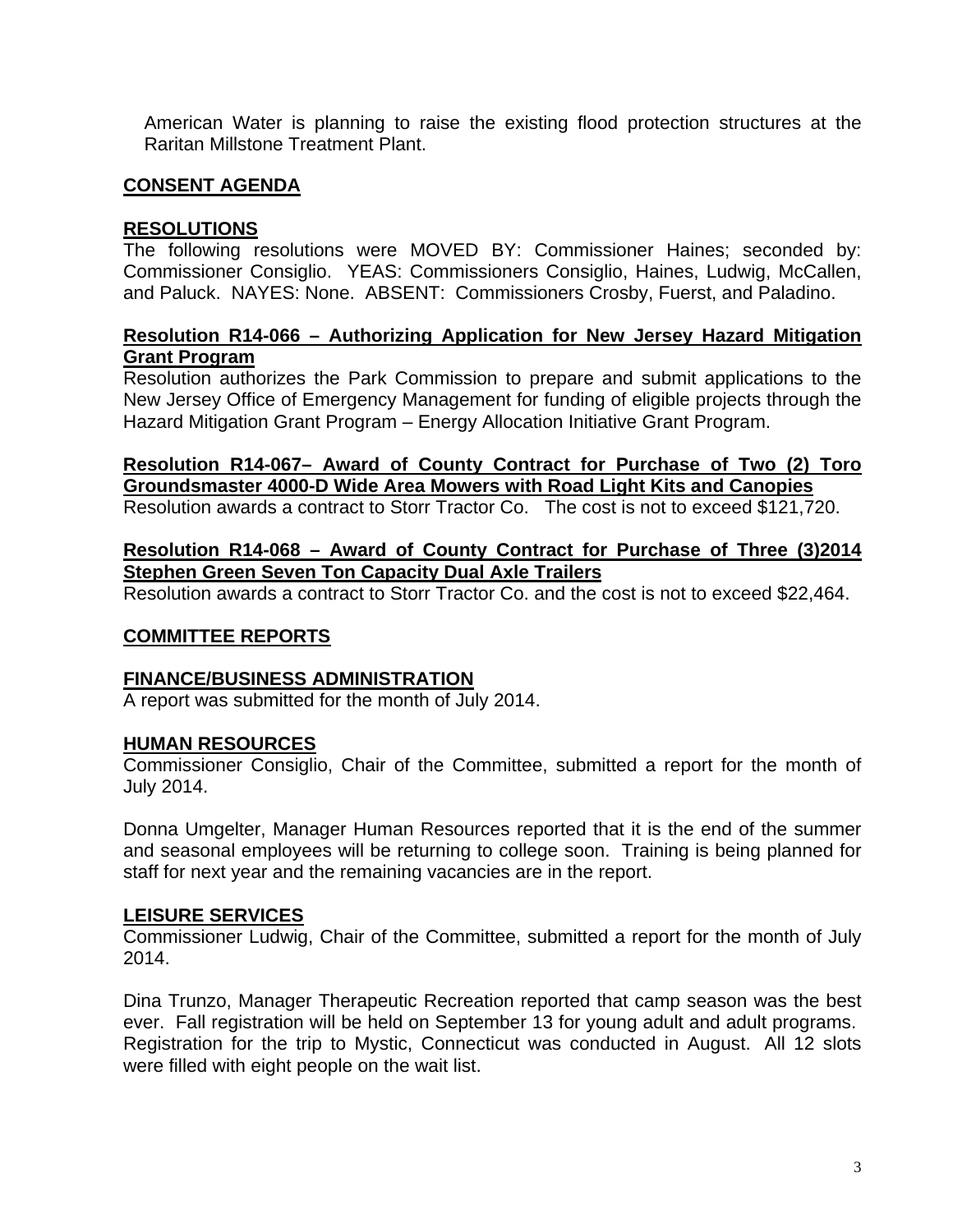American Water is planning to raise the existing flood protection structures at the Raritan Millstone Treatment Plant.

# **CONSENT AGENDA**

## **RESOLUTIONS**

The following resolutions were MOVED BY: Commissioner Haines; seconded by: Commissioner Consiglio. YEAS: Commissioners Consiglio, Haines, Ludwig, McCallen, and Paluck. NAYES: None. ABSENT: Commissioners Crosby, Fuerst, and Paladino.

## **Resolution R14-066 – Authorizing Application for New Jersey Hazard Mitigation Grant Program**

Resolution authorizes the Park Commission to prepare and submit applications to the New Jersey Office of Emergency Management for funding of eligible projects through the Hazard Mitigation Grant Program – Energy Allocation Initiative Grant Program.

# **Resolution R14-067– Award of County Contract for Purchase of Two (2) Toro Groundsmaster 4000-D Wide Area Mowers with Road Light Kits and Canopies**

Resolution awards a contract to Storr Tractor Co. The cost is not to exceed \$121,720.

# **Resolution R14-068 – Award of County Contract for Purchase of Three (3)2014 Stephen Green Seven Ton Capacity Dual Axle Trailers**

Resolution awards a contract to Storr Tractor Co. and the cost is not to exceed \$22,464.

## **COMMITTEE REPORTS**

## **FINANCE/BUSINESS ADMINISTRATION**

A report was submitted for the month of July 2014.

## **HUMAN RESOURCES**

Commissioner Consiglio, Chair of the Committee, submitted a report for the month of July 2014.

Donna Umgelter, Manager Human Resources reported that it is the end of the summer and seasonal employees will be returning to college soon. Training is being planned for staff for next year and the remaining vacancies are in the report.

## **LEISURE SERVICES**

Commissioner Ludwig, Chair of the Committee, submitted a report for the month of July 2014.

Dina Trunzo, Manager Therapeutic Recreation reported that camp season was the best ever. Fall registration will be held on September 13 for young adult and adult programs. Registration for the trip to Mystic, Connecticut was conducted in August. All 12 slots were filled with eight people on the wait list.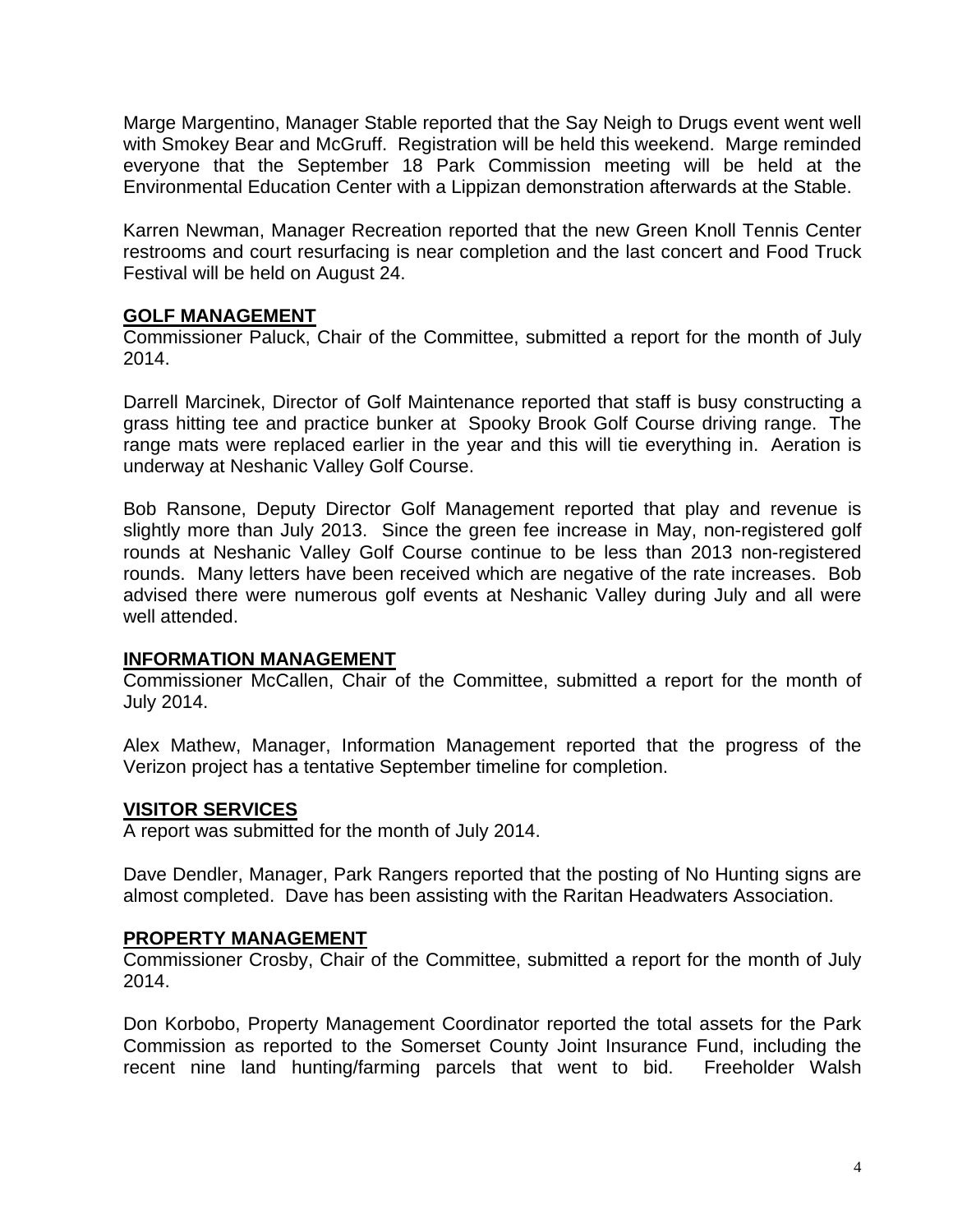Marge Margentino, Manager Stable reported that the Say Neigh to Drugs event went well with Smokey Bear and McGruff. Registration will be held this weekend. Marge reminded everyone that the September 18 Park Commission meeting will be held at the Environmental Education Center with a Lippizan demonstration afterwards at the Stable.

Karren Newman, Manager Recreation reported that the new Green Knoll Tennis Center restrooms and court resurfacing is near completion and the last concert and Food Truck Festival will be held on August 24.

## **GOLF MANAGEMENT**

Commissioner Paluck, Chair of the Committee, submitted a report for the month of July 2014.

Darrell Marcinek, Director of Golf Maintenance reported that staff is busy constructing a grass hitting tee and practice bunker at Spooky Brook Golf Course driving range. The range mats were replaced earlier in the year and this will tie everything in. Aeration is underway at Neshanic Valley Golf Course.

Bob Ransone, Deputy Director Golf Management reported that play and revenue is slightly more than July 2013. Since the green fee increase in May, non-registered golf rounds at Neshanic Valley Golf Course continue to be less than 2013 non-registered rounds. Many letters have been received which are negative of the rate increases. Bob advised there were numerous golf events at Neshanic Valley during July and all were well attended.

#### **INFORMATION MANAGEMENT**

Commissioner McCallen, Chair of the Committee, submitted a report for the month of July 2014.

Alex Mathew, Manager, Information Management reported that the progress of the Verizon project has a tentative September timeline for completion.

## **VISITOR SERVICES**

A report was submitted for the month of July 2014.

Dave Dendler, Manager, Park Rangers reported that the posting of No Hunting signs are almost completed. Dave has been assisting with the Raritan Headwaters Association.

#### **PROPERTY MANAGEMENT**

Commissioner Crosby, Chair of the Committee, submitted a report for the month of July 2014.

Don Korbobo, Property Management Coordinator reported the total assets for the Park Commission as reported to the Somerset County Joint Insurance Fund, including the recent nine land hunting/farming parcels that went to bid. Freeholder Walsh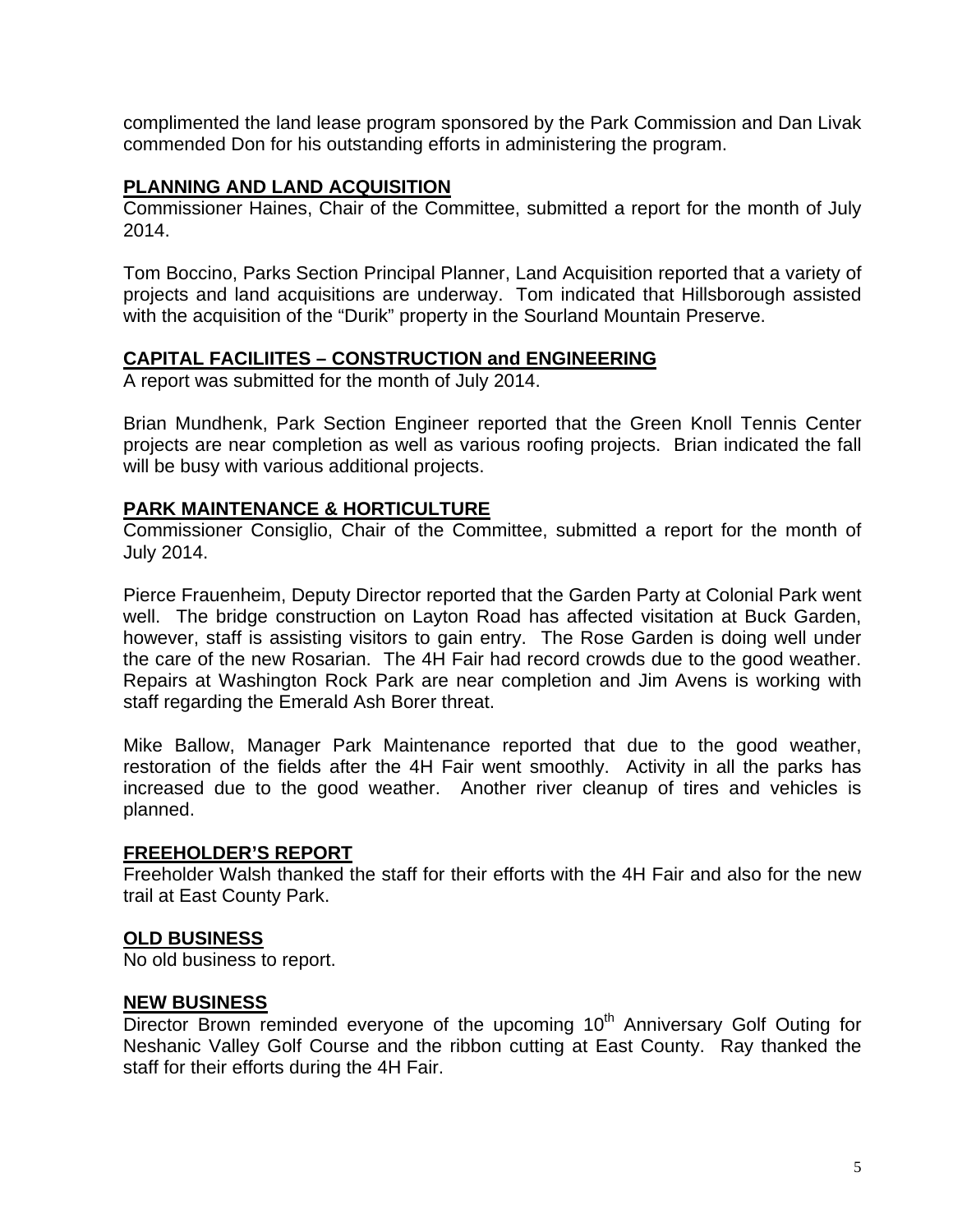complimented the land lease program sponsored by the Park Commission and Dan Livak commended Don for his outstanding efforts in administering the program.

#### **PLANNING AND LAND ACQUISITION**

Commissioner Haines, Chair of the Committee, submitted a report for the month of July 2014.

Tom Boccino, Parks Section Principal Planner, Land Acquisition reported that a variety of projects and land acquisitions are underway. Tom indicated that Hillsborough assisted with the acquisition of the "Durik" property in the Sourland Mountain Preserve.

## **CAPITAL FACILIITES – CONSTRUCTION and ENGINEERING**

A report was submitted for the month of July 2014.

Brian Mundhenk, Park Section Engineer reported that the Green Knoll Tennis Center projects are near completion as well as various roofing projects. Brian indicated the fall will be busy with various additional projects.

## **PARK MAINTENANCE & HORTICULTURE**

Commissioner Consiglio, Chair of the Committee, submitted a report for the month of July 2014.

Pierce Frauenheim, Deputy Director reported that the Garden Party at Colonial Park went well. The bridge construction on Layton Road has affected visitation at Buck Garden, however, staff is assisting visitors to gain entry. The Rose Garden is doing well under the care of the new Rosarian. The 4H Fair had record crowds due to the good weather. Repairs at Washington Rock Park are near completion and Jim Avens is working with staff regarding the Emerald Ash Borer threat.

Mike Ballow, Manager Park Maintenance reported that due to the good weather, restoration of the fields after the 4H Fair went smoothly. Activity in all the parks has increased due to the good weather. Another river cleanup of tires and vehicles is planned.

## **FREEHOLDER'S REPORT**

Freeholder Walsh thanked the staff for their efforts with the 4H Fair and also for the new trail at East County Park.

## **OLD BUSINESS**

No old business to report.

## **NEW BUSINESS**

Director Brown reminded everyone of the upcoming 10<sup>th</sup> Anniversary Golf Outing for Neshanic Valley Golf Course and the ribbon cutting at East County. Ray thanked the staff for their efforts during the 4H Fair.